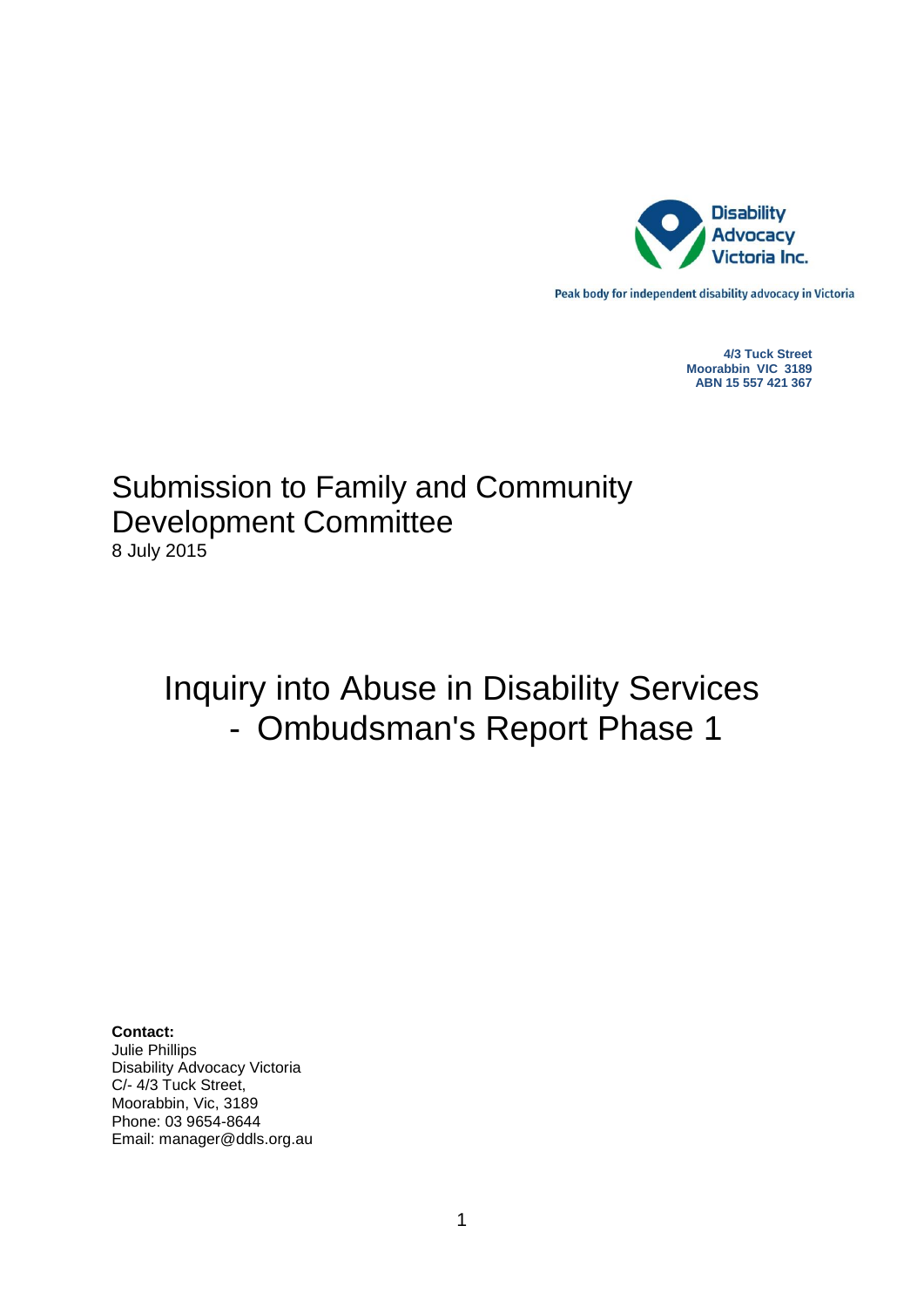

Peak body for independent disability advocacy in Victoria

**4/3 Tuck Street Moorabbin VIC 3189 ABN 15 557 421 367**

# Submission to Family and Community Development Committee 8 July 2015

# Inquiry into Abuse in Disability Services - Ombudsman's Report Phase 1

**Contact:**

Julie Phillips Disability Advocacy Victoria C/- 4/3 Tuck Street, Moorabbin, Vic, 3189 Phone: 03 9654-8644 Email: manager@ddls.org.au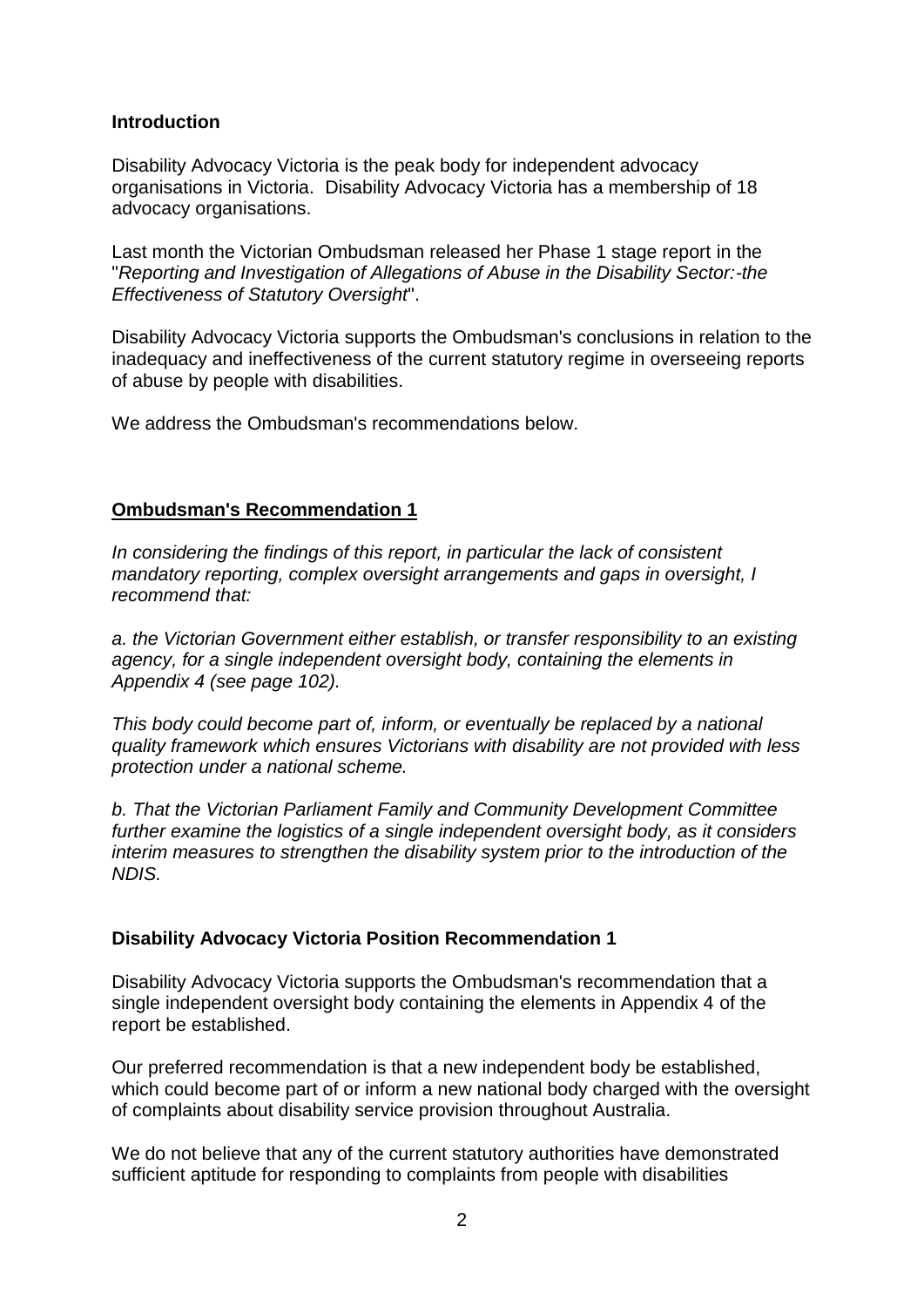# **Introduction**

Disability Advocacy Victoria is the peak body for independent advocacy organisations in Victoria. Disability Advocacy Victoria has a membership of 18 advocacy organisations.

Last month the Victorian Ombudsman released her Phase 1 stage report in the "*Reporting and Investigation of Allegations of Abuse in the Disability Sector:-the Effectiveness of Statutory Oversight*".

Disability Advocacy Victoria supports the Ombudsman's conclusions in relation to the inadequacy and ineffectiveness of the current statutory regime in overseeing reports of abuse by people with disabilities.

We address the Ombudsman's recommendations below.

# **Ombudsman's Recommendation 1**

*In considering the findings of this report, in particular the lack of consistent mandatory reporting, complex oversight arrangements and gaps in oversight, I recommend that:*

*a. the Victorian Government either establish, or transfer responsibility to an existing agency, for a single independent oversight body, containing the elements in Appendix 4 (see page 102).*

*This body could become part of, inform, or eventually be replaced by a national quality framework which ensures Victorians with disability are not provided with less protection under a national scheme.*

*b. That the Victorian Parliament Family and Community Development Committee further examine the logistics of a single independent oversight body, as it considers interim measures to strengthen the disability system prior to the introduction of the NDIS.*

# **Disability Advocacy Victoria Position Recommendation 1**

Disability Advocacy Victoria supports the Ombudsman's recommendation that a single independent oversight body containing the elements in Appendix 4 of the report be established.

Our preferred recommendation is that a new independent body be established, which could become part of or inform a new national body charged with the oversight of complaints about disability service provision throughout Australia.

We do not believe that any of the current statutory authorities have demonstrated sufficient aptitude for responding to complaints from people with disabilities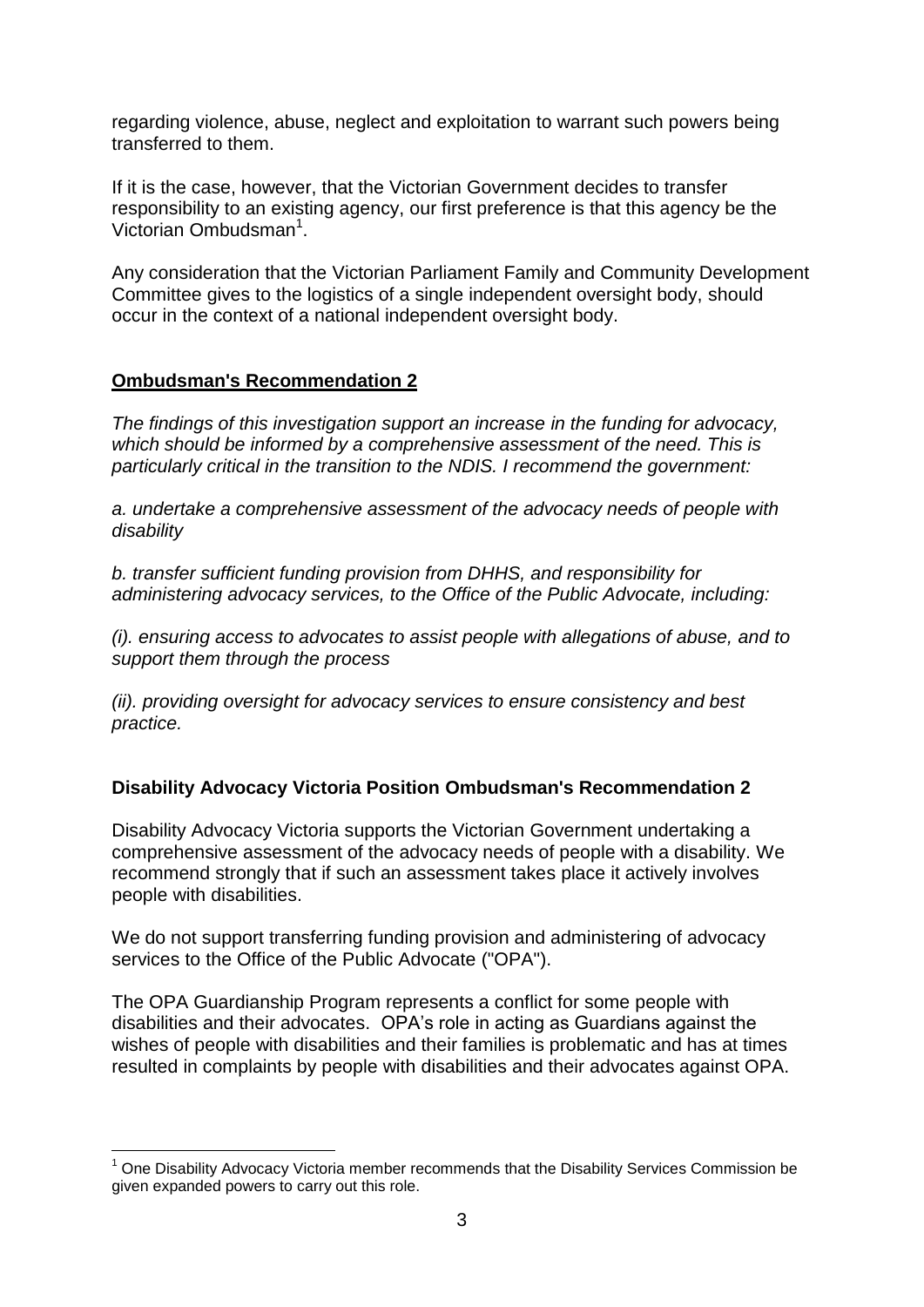regarding violence, abuse, neglect and exploitation to warrant such powers being transferred to them.

If it is the case, however, that the Victorian Government decides to transfer responsibility to an existing agency, our first preference is that this agency be the Victorian Ombudsman<sup>1</sup>.

Any consideration that the Victorian Parliament Family and Community Development Committee gives to the logistics of a single independent oversight body, should occur in the context of a national independent oversight body.

# **Ombudsman's Recommendation 2**

1

*The findings of this investigation support an increase in the funding for advocacy, which should be informed by a comprehensive assessment of the need. This is particularly critical in the transition to the NDIS. I recommend the government:*

*a. undertake a comprehensive assessment of the advocacy needs of people with disability*

*b. transfer sufficient funding provision from DHHS, and responsibility for administering advocacy services, to the Office of the Public Advocate, including:*

*(i). ensuring access to advocates to assist people with allegations of abuse, and to support them through the process*

*(ii). providing oversight for advocacy services to ensure consistency and best practice.*

# **Disability Advocacy Victoria Position Ombudsman's Recommendation 2**

Disability Advocacy Victoria supports the Victorian Government undertaking a comprehensive assessment of the advocacy needs of people with a disability. We recommend strongly that if such an assessment takes place it actively involves people with disabilities.

We do not support transferring funding provision and administering of advocacy services to the Office of the Public Advocate ("OPA").

The OPA Guardianship Program represents a conflict for some people with disabilities and their advocates. OPA's role in acting as Guardians against the wishes of people with disabilities and their families is problematic and has at times resulted in complaints by people with disabilities and their advocates against OPA.

<sup>1</sup> One Disability Advocacy Victoria member recommends that the Disability Services Commission be given expanded powers to carry out this role.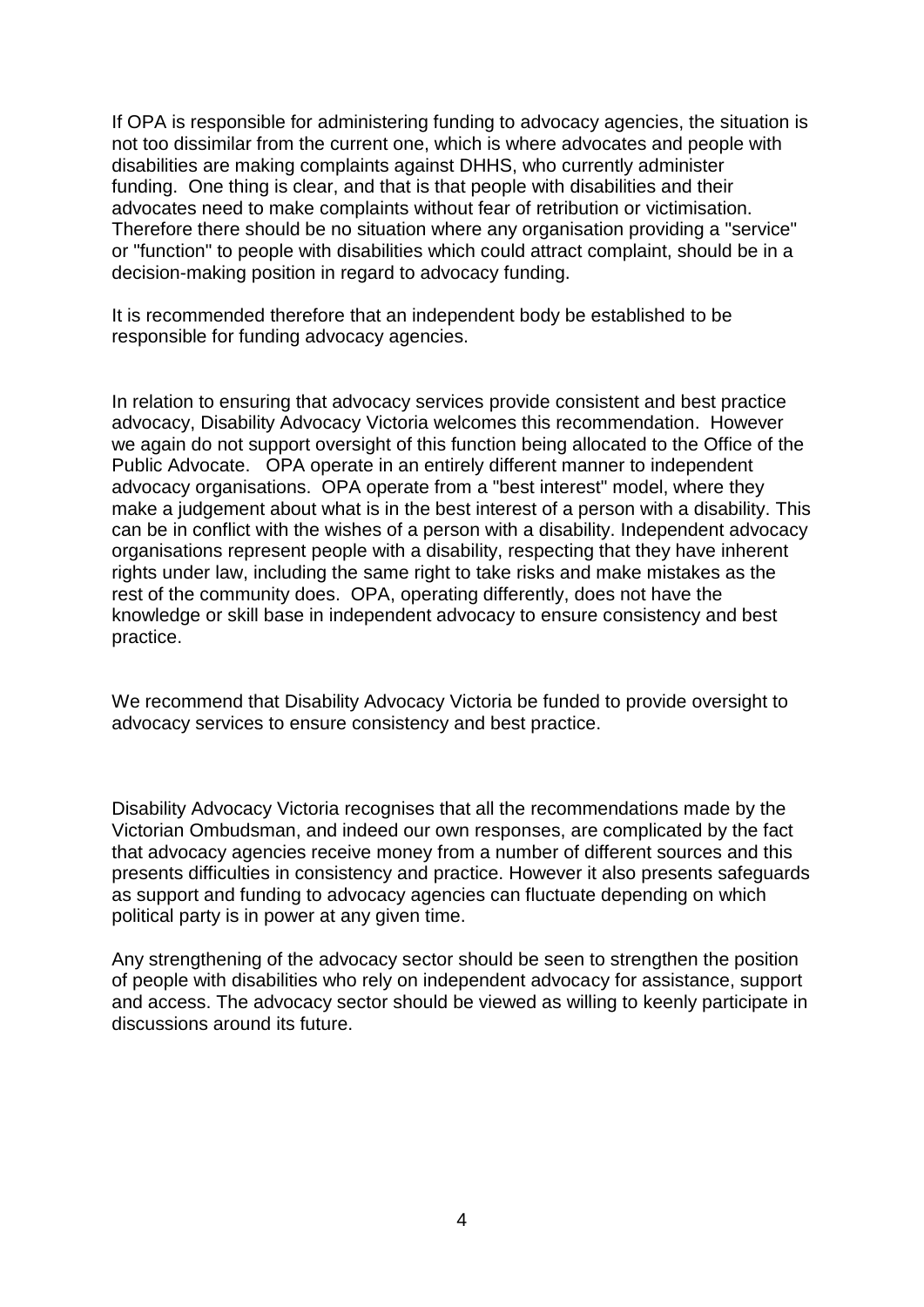If OPA is responsible for administering funding to advocacy agencies, the situation is not too dissimilar from the current one, which is where advocates and people with disabilities are making complaints against DHHS, who currently administer funding. One thing is clear, and that is that people with disabilities and their advocates need to make complaints without fear of retribution or victimisation. Therefore there should be no situation where any organisation providing a "service" or "function" to people with disabilities which could attract complaint, should be in a decision-making position in regard to advocacy funding.

It is recommended therefore that an independent body be established to be responsible for funding advocacy agencies.

In relation to ensuring that advocacy services provide consistent and best practice advocacy, Disability Advocacy Victoria welcomes this recommendation. However we again do not support oversight of this function being allocated to the Office of the Public Advocate. OPA operate in an entirely different manner to independent advocacy organisations. OPA operate from a "best interest" model, where they make a judgement about what is in the best interest of a person with a disability. This can be in conflict with the wishes of a person with a disability. Independent advocacy organisations represent people with a disability, respecting that they have inherent rights under law, including the same right to take risks and make mistakes as the rest of the community does. OPA, operating differently, does not have the knowledge or skill base in independent advocacy to ensure consistency and best practice.

We recommend that Disability Advocacy Victoria be funded to provide oversight to advocacy services to ensure consistency and best practice.

Disability Advocacy Victoria recognises that all the recommendations made by the Victorian Ombudsman, and indeed our own responses, are complicated by the fact that advocacy agencies receive money from a number of different sources and this presents difficulties in consistency and practice. However it also presents safeguards as support and funding to advocacy agencies can fluctuate depending on which political party is in power at any given time.

Any strengthening of the advocacy sector should be seen to strengthen the position of people with disabilities who rely on independent advocacy for assistance, support and access. The advocacy sector should be viewed as willing to keenly participate in discussions around its future.